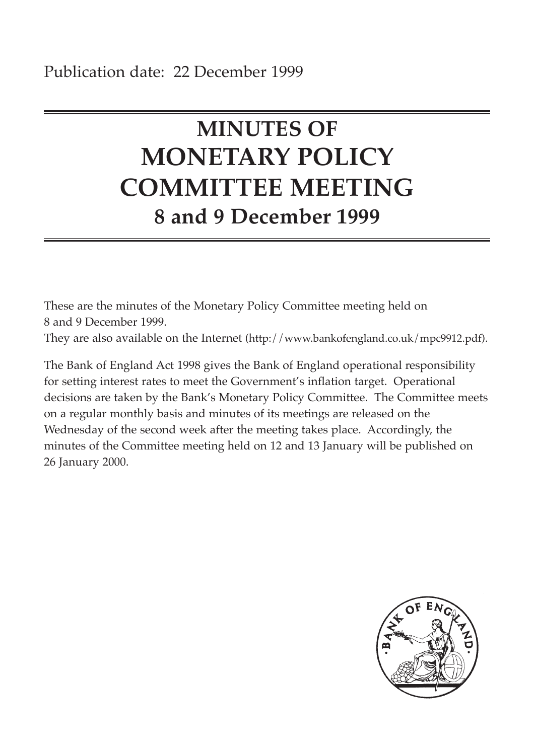# **MINUTES OF MONETARY POLICY COMMITTEE MEETING 8 and 9 December 1999**

These are the minutes of the Monetary Policy Committee meeting held on 8 and 9 December 1999.

They are also available on the Internet (http://www.bankofengland.co.uk/mpc9912.pdf).

The Bank of England Act 1998 gives the Bank of England operational responsibility for setting interest rates to meet the Government's inflation target. Operational decisions are taken by the Bank's Monetary Policy Committee. The Committee meets on a regular monthly basis and minutes of its meetings are released on the Wednesday of the second week after the meeting takes place. Accordingly, the minutes of the Committee meeting held on 12 and 13 January will be published on 26 January 2000.

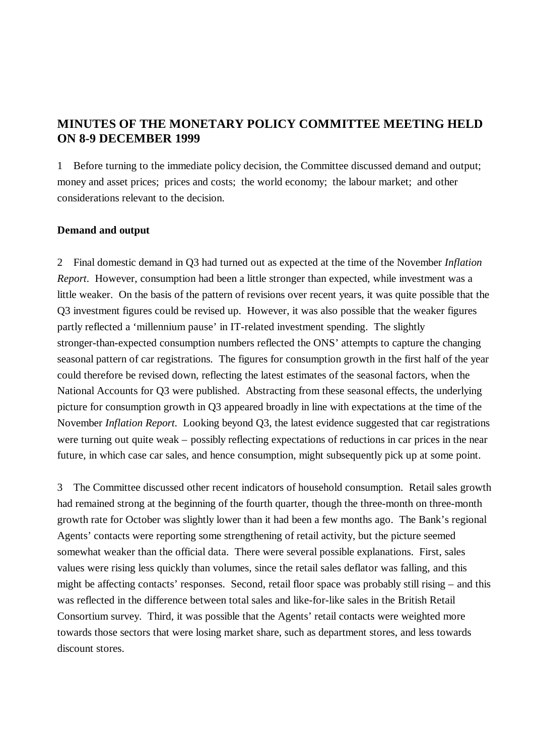# **MINUTES OF THE MONETARY POLICY COMMITTEE MEETING HELD ON 8-9 DECEMBER 1999**

1 Before turning to the immediate policy decision, the Committee discussed demand and output; money and asset prices; prices and costs; the world economy; the labour market; and other considerations relevant to the decision.

# **Demand and output**

2 Final domestic demand in Q3 had turned out as expected at the time of the November *Inflation Report*. However, consumption had been a little stronger than expected, while investment was a little weaker. On the basis of the pattern of revisions over recent years, it was quite possible that the Q3 investment figures could be revised up. However, it was also possible that the weaker figures partly reflected a 'millennium pause' in IT-related investment spending. The slightly stronger-than-expected consumption numbers reflected the ONS' attempts to capture the changing seasonal pattern of car registrations. The figures for consumption growth in the first half of the year could therefore be revised down, reflecting the latest estimates of the seasonal factors, when the National Accounts for Q3 were published. Abstracting from these seasonal effects, the underlying picture for consumption growth in Q3 appeared broadly in line with expectations at the time of the November *Inflation Report*. Looking beyond Q3, the latest evidence suggested that car registrations were turning out quite weak – possibly reflecting expectations of reductions in car prices in the near future, in which case car sales, and hence consumption, might subsequently pick up at some point.

3 The Committee discussed other recent indicators of household consumption. Retail sales growth had remained strong at the beginning of the fourth quarter, though the three-month on three-month growth rate for October was slightly lower than it had been a few months ago. The Bank's regional Agents' contacts were reporting some strengthening of retail activity, but the picture seemed somewhat weaker than the official data. There were several possible explanations. First, sales values were rising less quickly than volumes, since the retail sales deflator was falling, and this might be affecting contacts' responses. Second, retail floor space was probably still rising – and this was reflected in the difference between total sales and like-for-like sales in the British Retail Consortium survey. Third, it was possible that the Agents' retail contacts were weighted more towards those sectors that were losing market share, such as department stores, and less towards discount stores.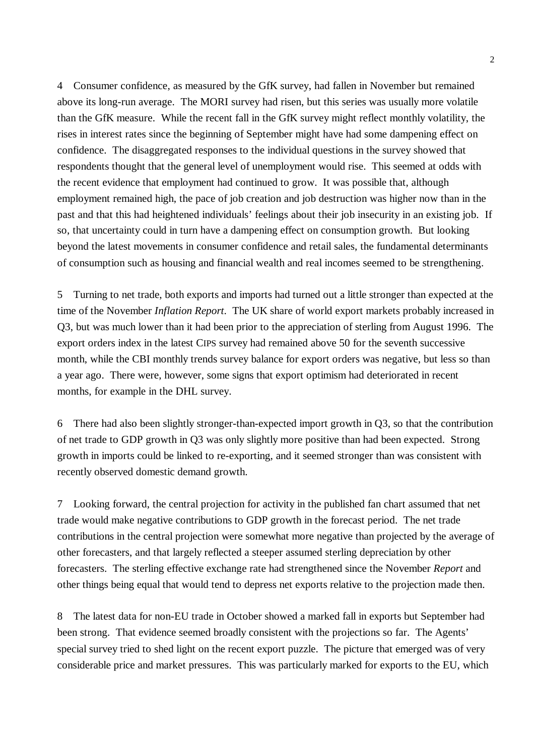4 Consumer confidence, as measured by the GfK survey, had fallen in November but remained above its long-run average. The MORI survey had risen, but this series was usually more volatile than the GfK measure. While the recent fall in the GfK survey might reflect monthly volatility, the rises in interest rates since the beginning of September might have had some dampening effect on confidence. The disaggregated responses to the individual questions in the survey showed that respondents thought that the general level of unemployment would rise. This seemed at odds with the recent evidence that employment had continued to grow. It was possible that, although employment remained high, the pace of job creation and job destruction was higher now than in the past and that this had heightened individuals' feelings about their job insecurity in an existing job. If so, that uncertainty could in turn have a dampening effect on consumption growth. But looking beyond the latest movements in consumer confidence and retail sales, the fundamental determinants of consumption such as housing and financial wealth and real incomes seemed to be strengthening.

5 Turning to net trade, both exports and imports had turned out a little stronger than expected at the time of the November *Inflation Report*. The UK share of world export markets probably increased in Q3, but was much lower than it had been prior to the appreciation of sterling from August 1996. The export orders index in the latest CIPS survey had remained above 50 for the seventh successive month, while the CBI monthly trends survey balance for export orders was negative, but less so than a year ago. There were, however, some signs that export optimism had deteriorated in recent months, for example in the DHL survey.

6 There had also been slightly stronger-than-expected import growth in Q3, so that the contribution of net trade to GDP growth in Q3 was only slightly more positive than had been expected. Strong growth in imports could be linked to re-exporting, and it seemed stronger than was consistent with recently observed domestic demand growth.

7 Looking forward, the central projection for activity in the published fan chart assumed that net trade would make negative contributions to GDP growth in the forecast period. The net trade contributions in the central projection were somewhat more negative than projected by the average of other forecasters, and that largely reflected a steeper assumed sterling depreciation by other forecasters. The sterling effective exchange rate had strengthened since the November *Report* and other things being equal that would tend to depress net exports relative to the projection made then.

8 The latest data for non-EU trade in October showed a marked fall in exports but September had been strong. That evidence seemed broadly consistent with the projections so far. The Agents' special survey tried to shed light on the recent export puzzle. The picture that emerged was of very considerable price and market pressures. This was particularly marked for exports to the EU, which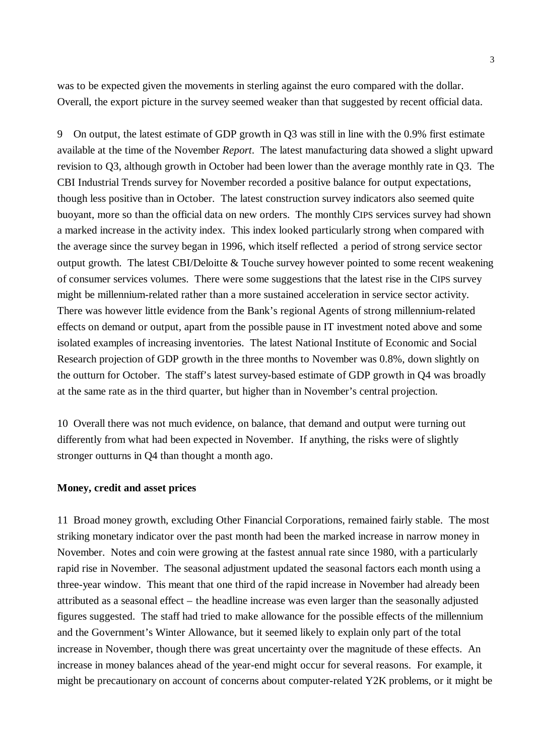was to be expected given the movements in sterling against the euro compared with the dollar. Overall, the export picture in the survey seemed weaker than that suggested by recent official data.

9 On output, the latest estimate of GDP growth in Q3 was still in line with the 0.9% first estimate available at the time of the November *Report*. The latest manufacturing data showed a slight upward revision to Q3, although growth in October had been lower than the average monthly rate in Q3. The CBI Industrial Trends survey for November recorded a positive balance for output expectations, though less positive than in October. The latest construction survey indicators also seemed quite buoyant, more so than the official data on new orders. The monthly CIPS services survey had shown a marked increase in the activity index. This index looked particularly strong when compared with the average since the survey began in 1996, which itself reflected a period of strong service sector output growth. The latest CBI/Deloitte & Touche survey however pointed to some recent weakening of consumer services volumes. There were some suggestions that the latest rise in the CIPS survey might be millennium-related rather than a more sustained acceleration in service sector activity. There was however little evidence from the Bank's regional Agents of strong millennium-related effects on demand or output, apart from the possible pause in IT investment noted above and some isolated examples of increasing inventories. The latest National Institute of Economic and Social Research projection of GDP growth in the three months to November was 0.8%, down slightly on the outturn for October. The staff's latest survey-based estimate of GDP growth in Q4 was broadly at the same rate as in the third quarter, but higher than in November's central projection.

10 Overall there was not much evidence, on balance, that demand and output were turning out differently from what had been expected in November. If anything, the risks were of slightly stronger outturns in Q4 than thought a month ago.

### **Money, credit and asset prices**

11 Broad money growth, excluding Other Financial Corporations, remained fairly stable. The most striking monetary indicator over the past month had been the marked increase in narrow money in November. Notes and coin were growing at the fastest annual rate since 1980, with a particularly rapid rise in November. The seasonal adjustment updated the seasonal factors each month using a three-year window. This meant that one third of the rapid increase in November had already been attributed as a seasonal effect – the headline increase was even larger than the seasonally adjusted figures suggested. The staff had tried to make allowance for the possible effects of the millennium and the Government's Winter Allowance, but it seemed likely to explain only part of the total increase in November, though there was great uncertainty over the magnitude of these effects. An increase in money balances ahead of the year-end might occur for several reasons. For example, it might be precautionary on account of concerns about computer-related Y2K problems, or it might be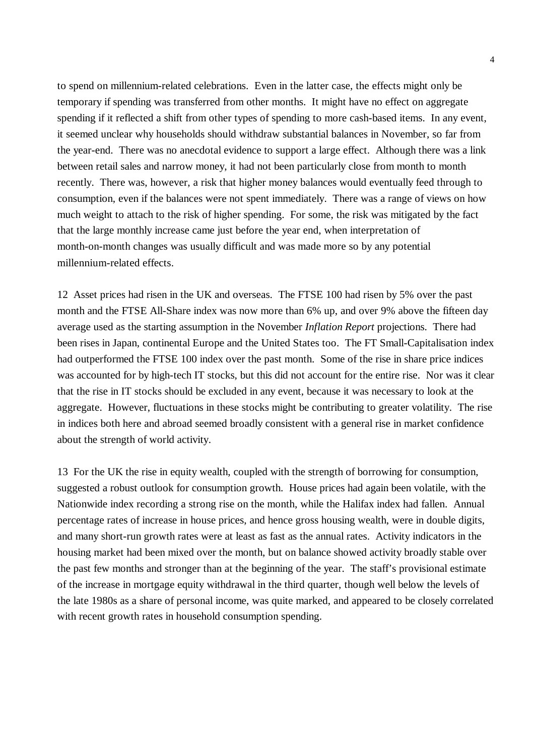to spend on millennium-related celebrations. Even in the latter case, the effects might only be temporary if spending was transferred from other months. It might have no effect on aggregate spending if it reflected a shift from other types of spending to more cash-based items. In any event, it seemed unclear why households should withdraw substantial balances in November, so far from the year-end. There was no anecdotal evidence to support a large effect. Although there was a link between retail sales and narrow money, it had not been particularly close from month to month recently. There was, however, a risk that higher money balances would eventually feed through to consumption, even if the balances were not spent immediately. There was a range of views on how much weight to attach to the risk of higher spending. For some, the risk was mitigated by the fact that the large monthly increase came just before the year end, when interpretation of month-on-month changes was usually difficult and was made more so by any potential millennium-related effects.

12 Asset prices had risen in the UK and overseas. The FTSE 100 had risen by 5% over the past month and the FTSE All-Share index was now more than 6% up, and over 9% above the fifteen day average used as the starting assumption in the November *Inflation Report* projections. There had been rises in Japan, continental Europe and the United States too. The FT Small-Capitalisation index had outperformed the FTSE 100 index over the past month. Some of the rise in share price indices was accounted for by high-tech IT stocks, but this did not account for the entire rise. Nor was it clear that the rise in IT stocks should be excluded in any event, because it was necessary to look at the aggregate. However, fluctuations in these stocks might be contributing to greater volatility. The rise in indices both here and abroad seemed broadly consistent with a general rise in market confidence about the strength of world activity.

13 For the UK the rise in equity wealth, coupled with the strength of borrowing for consumption, suggested a robust outlook for consumption growth. House prices had again been volatile, with the Nationwide index recording a strong rise on the month, while the Halifax index had fallen. Annual percentage rates of increase in house prices, and hence gross housing wealth, were in double digits, and many short-run growth rates were at least as fast as the annual rates. Activity indicators in the housing market had been mixed over the month, but on balance showed activity broadly stable over the past few months and stronger than at the beginning of the year. The staff's provisional estimate of the increase in mortgage equity withdrawal in the third quarter, though well below the levels of the late 1980s as a share of personal income, was quite marked, and appeared to be closely correlated with recent growth rates in household consumption spending.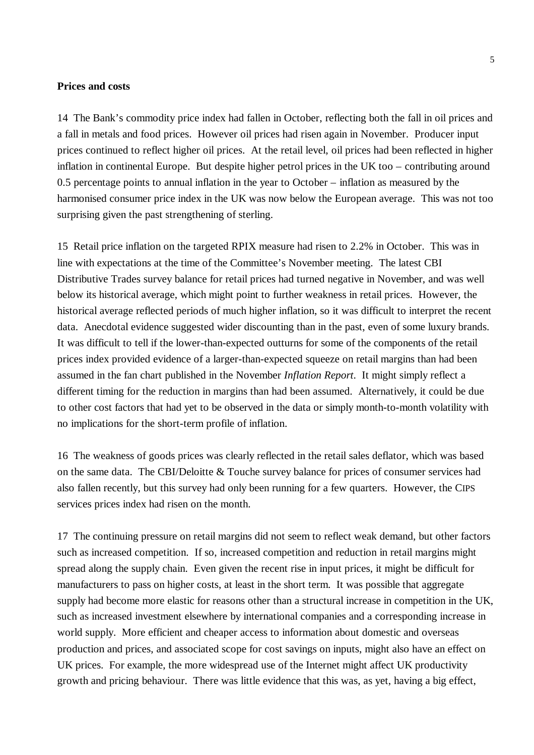#### **Prices and costs**

14 The Bank's commodity price index had fallen in October, reflecting both the fall in oil prices and a fall in metals and food prices. However oil prices had risen again in November. Producer input prices continued to reflect higher oil prices. At the retail level, oil prices had been reflected in higher inflation in continental Europe. But despite higher petrol prices in the UK too – contributing around 0.5 percentage points to annual inflation in the year to October – inflation as measured by the harmonised consumer price index in the UK was now below the European average. This was not too surprising given the past strengthening of sterling.

15 Retail price inflation on the targeted RPIX measure had risen to 2.2% in October. This was in line with expectations at the time of the Committee's November meeting. The latest CBI Distributive Trades survey balance for retail prices had turned negative in November, and was well below its historical average, which might point to further weakness in retail prices. However, the historical average reflected periods of much higher inflation, so it was difficult to interpret the recent data. Anecdotal evidence suggested wider discounting than in the past, even of some luxury brands. It was difficult to tell if the lower-than-expected outturns for some of the components of the retail prices index provided evidence of a larger-than-expected squeeze on retail margins than had been assumed in the fan chart published in the November *Inflation Report*. It might simply reflect a different timing for the reduction in margins than had been assumed. Alternatively, it could be due to other cost factors that had yet to be observed in the data or simply month-to-month volatility with no implications for the short-term profile of inflation.

16 The weakness of goods prices was clearly reflected in the retail sales deflator, which was based on the same data. The CBI/Deloitte & Touche survey balance for prices of consumer services had also fallen recently, but this survey had only been running for a few quarters. However, the CIPS services prices index had risen on the month.

17 The continuing pressure on retail margins did not seem to reflect weak demand, but other factors such as increased competition. If so, increased competition and reduction in retail margins might spread along the supply chain. Even given the recent rise in input prices, it might be difficult for manufacturers to pass on higher costs, at least in the short term. It was possible that aggregate supply had become more elastic for reasons other than a structural increase in competition in the UK, such as increased investment elsewhere by international companies and a corresponding increase in world supply. More efficient and cheaper access to information about domestic and overseas production and prices, and associated scope for cost savings on inputs, might also have an effect on UK prices. For example, the more widespread use of the Internet might affect UK productivity growth and pricing behaviour. There was little evidence that this was, as yet, having a big effect,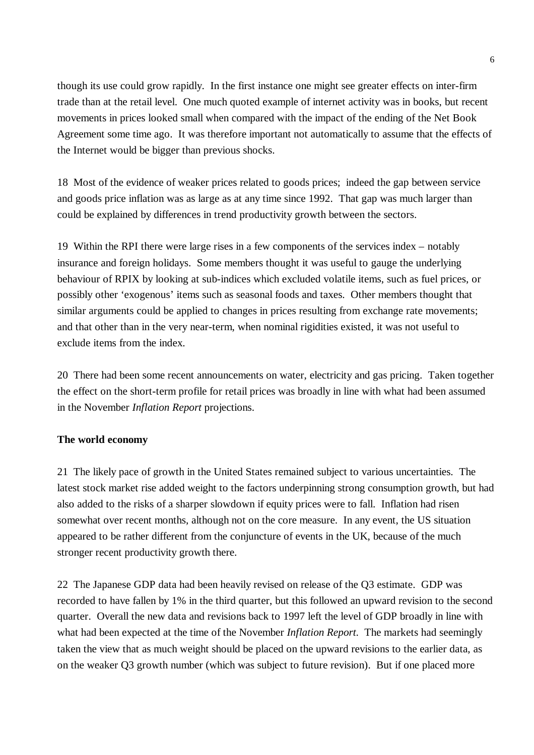though its use could grow rapidly. In the first instance one might see greater effects on inter-firm trade than at the retail level. One much quoted example of internet activity was in books, but recent movements in prices looked small when compared with the impact of the ending of the Net Book Agreement some time ago. It was therefore important not automatically to assume that the effects of the Internet would be bigger than previous shocks.

18 Most of the evidence of weaker prices related to goods prices; indeed the gap between service and goods price inflation was as large as at any time since 1992. That gap was much larger than could be explained by differences in trend productivity growth between the sectors.

19 Within the RPI there were large rises in a few components of the services index – notably insurance and foreign holidays. Some members thought it was useful to gauge the underlying behaviour of RPIX by looking at sub-indices which excluded volatile items, such as fuel prices, or possibly other 'exogenous' items such as seasonal foods and taxes. Other members thought that similar arguments could be applied to changes in prices resulting from exchange rate movements; and that other than in the very near-term, when nominal rigidities existed, it was not useful to exclude items from the index.

20 There had been some recent announcements on water, electricity and gas pricing. Taken together the effect on the short-term profile for retail prices was broadly in line with what had been assumed in the November *Inflation Report* projections.

# **The world economy**

21 The likely pace of growth in the United States remained subject to various uncertainties. The latest stock market rise added weight to the factors underpinning strong consumption growth, but had also added to the risks of a sharper slowdown if equity prices were to fall. Inflation had risen somewhat over recent months, although not on the core measure. In any event, the US situation appeared to be rather different from the conjuncture of events in the UK, because of the much stronger recent productivity growth there.

22 The Japanese GDP data had been heavily revised on release of the Q3 estimate. GDP was recorded to have fallen by 1% in the third quarter, but this followed an upward revision to the second quarter. Overall the new data and revisions back to 1997 left the level of GDP broadly in line with what had been expected at the time of the November *Inflation Report*. The markets had seemingly taken the view that as much weight should be placed on the upward revisions to the earlier data, as on the weaker Q3 growth number (which was subject to future revision). But if one placed more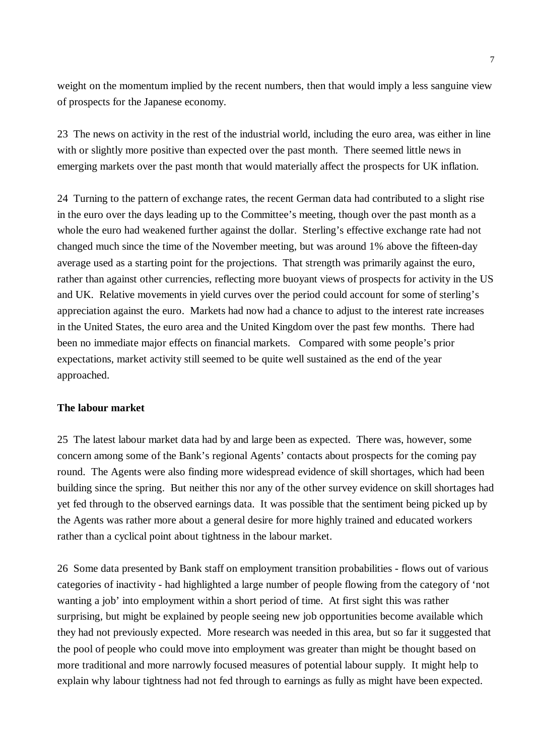weight on the momentum implied by the recent numbers, then that would imply a less sanguine view of prospects for the Japanese economy.

23 The news on activity in the rest of the industrial world, including the euro area, was either in line with or slightly more positive than expected over the past month. There seemed little news in emerging markets over the past month that would materially affect the prospects for UK inflation.

24 Turning to the pattern of exchange rates, the recent German data had contributed to a slight rise in the euro over the days leading up to the Committee's meeting, though over the past month as a whole the euro had weakened further against the dollar. Sterling's effective exchange rate had not changed much since the time of the November meeting, but was around 1% above the fifteen-day average used as a starting point for the projections. That strength was primarily against the euro, rather than against other currencies, reflecting more buoyant views of prospects for activity in the US and UK. Relative movements in yield curves over the period could account for some of sterling's appreciation against the euro. Markets had now had a chance to adjust to the interest rate increases in the United States, the euro area and the United Kingdom over the past few months. There had been no immediate major effects on financial markets. Compared with some people's prior expectations, market activity still seemed to be quite well sustained as the end of the year approached.

# **The labour market**

25 The latest labour market data had by and large been as expected. There was, however, some concern among some of the Bank's regional Agents' contacts about prospects for the coming pay round. The Agents were also finding more widespread evidence of skill shortages, which had been building since the spring. But neither this nor any of the other survey evidence on skill shortages had yet fed through to the observed earnings data. It was possible that the sentiment being picked up by the Agents was rather more about a general desire for more highly trained and educated workers rather than a cyclical point about tightness in the labour market.

26 Some data presented by Bank staff on employment transition probabilities - flows out of various categories of inactivity - had highlighted a large number of people flowing from the category of 'not wanting a job' into employment within a short period of time. At first sight this was rather surprising, but might be explained by people seeing new job opportunities become available which they had not previously expected. More research was needed in this area, but so far it suggested that the pool of people who could move into employment was greater than might be thought based on more traditional and more narrowly focused measures of potential labour supply. It might help to explain why labour tightness had not fed through to earnings as fully as might have been expected.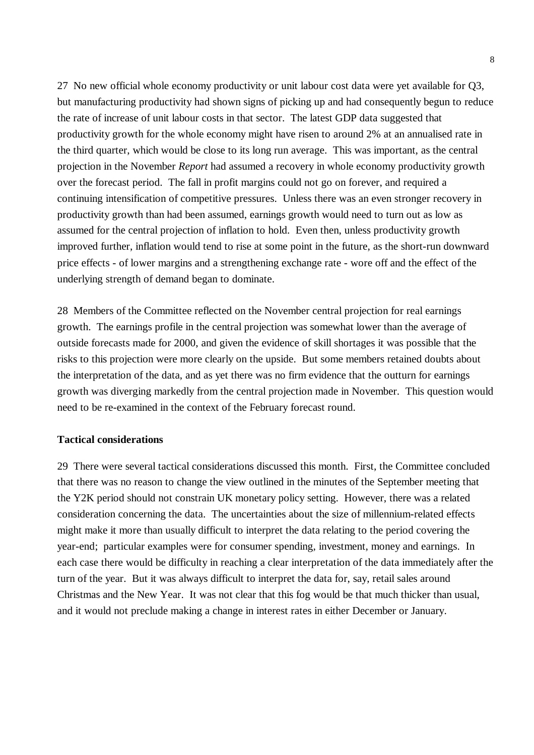27 No new official whole economy productivity or unit labour cost data were yet available for Q3, but manufacturing productivity had shown signs of picking up and had consequently begun to reduce the rate of increase of unit labour costs in that sector. The latest GDP data suggested that productivity growth for the whole economy might have risen to around 2% at an annualised rate in the third quarter, which would be close to its long run average. This was important, as the central projection in the November *Report* had assumed a recovery in whole economy productivity growth over the forecast period. The fall in profit margins could not go on forever, and required a continuing intensification of competitive pressures. Unless there was an even stronger recovery in productivity growth than had been assumed, earnings growth would need to turn out as low as assumed for the central projection of inflation to hold. Even then, unless productivity growth improved further, inflation would tend to rise at some point in the future, as the short-run downward price effects - of lower margins and a strengthening exchange rate - wore off and the effect of the underlying strength of demand began to dominate.

28 Members of the Committee reflected on the November central projection for real earnings growth. The earnings profile in the central projection was somewhat lower than the average of outside forecasts made for 2000, and given the evidence of skill shortages it was possible that the risks to this projection were more clearly on the upside. But some members retained doubts about the interpretation of the data, and as yet there was no firm evidence that the outturn for earnings growth was diverging markedly from the central projection made in November. This question would need to be re-examined in the context of the February forecast round.

## **Tactical considerations**

29 There were several tactical considerations discussed this month. First, the Committee concluded that there was no reason to change the view outlined in the minutes of the September meeting that the Y2K period should not constrain UK monetary policy setting. However, there was a related consideration concerning the data. The uncertainties about the size of millennium-related effects might make it more than usually difficult to interpret the data relating to the period covering the year-end; particular examples were for consumer spending, investment, money and earnings. In each case there would be difficulty in reaching a clear interpretation of the data immediately after the turn of the year. But it was always difficult to interpret the data for, say, retail sales around Christmas and the New Year. It was not clear that this fog would be that much thicker than usual, and it would not preclude making a change in interest rates in either December or January.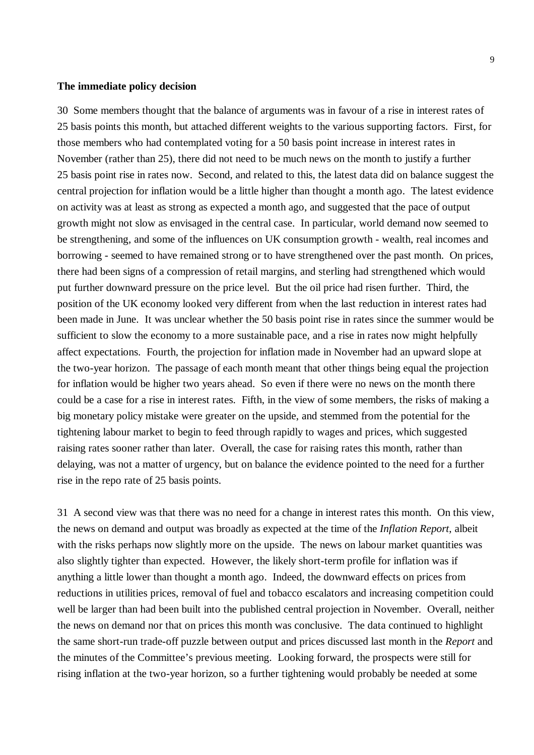#### **The immediate policy decision**

30 Some members thought that the balance of arguments was in favour of a rise in interest rates of 25 basis points this month, but attached different weights to the various supporting factors. First, for those members who had contemplated voting for a 50 basis point increase in interest rates in November (rather than 25), there did not need to be much news on the month to justify a further 25 basis point rise in rates now. Second, and related to this, the latest data did on balance suggest the central projection for inflation would be a little higher than thought a month ago. The latest evidence on activity was at least as strong as expected a month ago, and suggested that the pace of output growth might not slow as envisaged in the central case. In particular, world demand now seemed to be strengthening, and some of the influences on UK consumption growth - wealth, real incomes and borrowing - seemed to have remained strong or to have strengthened over the past month. On prices, there had been signs of a compression of retail margins, and sterling had strengthened which would put further downward pressure on the price level. But the oil price had risen further. Third, the position of the UK economy looked very different from when the last reduction in interest rates had been made in June. It was unclear whether the 50 basis point rise in rates since the summer would be sufficient to slow the economy to a more sustainable pace, and a rise in rates now might helpfully affect expectations. Fourth, the projection for inflation made in November had an upward slope at the two-year horizon. The passage of each month meant that other things being equal the projection for inflation would be higher two years ahead. So even if there were no news on the month there could be a case for a rise in interest rates. Fifth, in the view of some members, the risks of making a big monetary policy mistake were greater on the upside, and stemmed from the potential for the tightening labour market to begin to feed through rapidly to wages and prices, which suggested raising rates sooner rather than later. Overall, the case for raising rates this month, rather than delaying, was not a matter of urgency, but on balance the evidence pointed to the need for a further rise in the repo rate of 25 basis points.

31 A second view was that there was no need for a change in interest rates this month. On this view, the news on demand and output was broadly as expected at the time of the *Inflation Report*, albeit with the risks perhaps now slightly more on the upside. The news on labour market quantities was also slightly tighter than expected. However, the likely short-term profile for inflation was if anything a little lower than thought a month ago. Indeed, the downward effects on prices from reductions in utilities prices, removal of fuel and tobacco escalators and increasing competition could well be larger than had been built into the published central projection in November. Overall, neither the news on demand nor that on prices this month was conclusive. The data continued to highlight the same short-run trade-off puzzle between output and prices discussed last month in the *Report* and the minutes of the Committee's previous meeting. Looking forward, the prospects were still for rising inflation at the two-year horizon, so a further tightening would probably be needed at some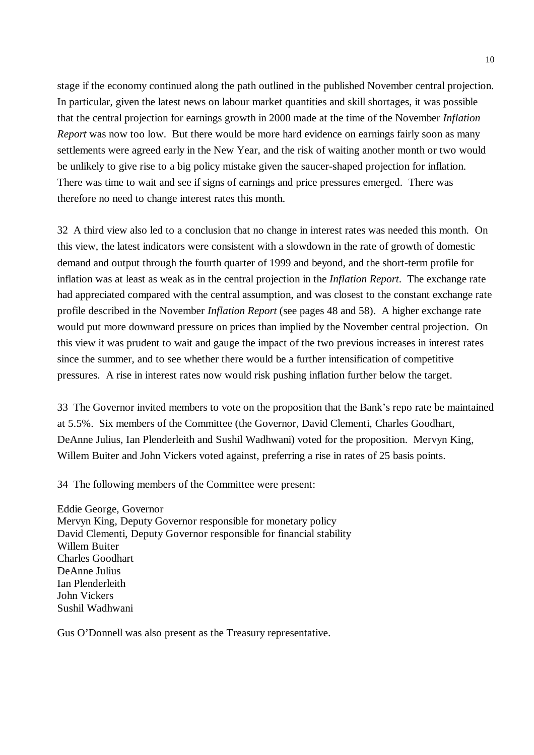stage if the economy continued along the path outlined in the published November central projection. In particular, given the latest news on labour market quantities and skill shortages, it was possible that the central projection for earnings growth in 2000 made at the time of the November *Inflation Report* was now too low. But there would be more hard evidence on earnings fairly soon as many settlements were agreed early in the New Year, and the risk of waiting another month or two would be unlikely to give rise to a big policy mistake given the saucer-shaped projection for inflation. There was time to wait and see if signs of earnings and price pressures emerged. There was therefore no need to change interest rates this month.

32 A third view also led to a conclusion that no change in interest rates was needed this month. On this view, the latest indicators were consistent with a slowdown in the rate of growth of domestic demand and output through the fourth quarter of 1999 and beyond, and the short-term profile for inflation was at least as weak as in the central projection in the *Inflation Report*. The exchange rate had appreciated compared with the central assumption, and was closest to the constant exchange rate profile described in the November *Inflation Report* (see pages 48 and 58). A higher exchange rate would put more downward pressure on prices than implied by the November central projection. On this view it was prudent to wait and gauge the impact of the two previous increases in interest rates since the summer, and to see whether there would be a further intensification of competitive pressures. A rise in interest rates now would risk pushing inflation further below the target.

33 The Governor invited members to vote on the proposition that the Bank's repo rate be maintained at 5.5%. Six members of the Committee (the Governor, David Clementi, Charles Goodhart, DeAnne Julius, Ian Plenderleith and Sushil Wadhwani) voted for the proposition. Mervyn King, Willem Buiter and John Vickers voted against, preferring a rise in rates of 25 basis points.

34 The following members of the Committee were present:

Eddie George, Governor Mervyn King, Deputy Governor responsible for monetary policy David Clementi, Deputy Governor responsible for financial stability Willem Buiter Charles Goodhart DeAnne Julius Ian Plenderleith John Vickers Sushil Wadhwani

Gus O'Donnell was also present as the Treasury representative.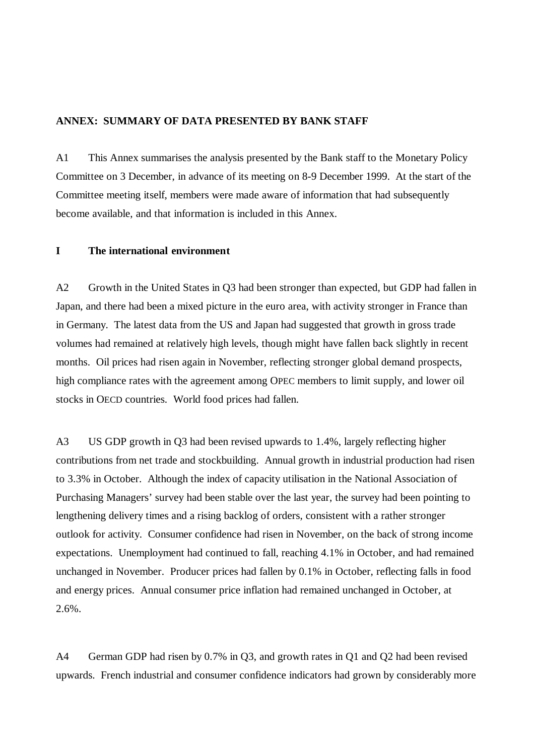#### **ANNEX: SUMMARY OF DATA PRESENTED BY BANK STAFF**

A1 This Annex summarises the analysis presented by the Bank staff to the Monetary Policy Committee on 3 December, in advance of its meeting on 8-9 December 1999. At the start of the Committee meeting itself, members were made aware of information that had subsequently become available, and that information is included in this Annex.

# **I The international environment**

A2 Growth in the United States in Q3 had been stronger than expected, but GDP had fallen in Japan, and there had been a mixed picture in the euro area, with activity stronger in France than in Germany. The latest data from the US and Japan had suggested that growth in gross trade volumes had remained at relatively high levels, though might have fallen back slightly in recent months. Oil prices had risen again in November, reflecting stronger global demand prospects, high compliance rates with the agreement among OPEC members to limit supply, and lower oil stocks in OECD countries. World food prices had fallen.

A3 US GDP growth in Q3 had been revised upwards to 1.4%, largely reflecting higher contributions from net trade and stockbuilding. Annual growth in industrial production had risen to 3.3% in October. Although the index of capacity utilisation in the National Association of Purchasing Managers' survey had been stable over the last year, the survey had been pointing to lengthening delivery times and a rising backlog of orders, consistent with a rather stronger outlook for activity. Consumer confidence had risen in November, on the back of strong income expectations. Unemployment had continued to fall, reaching 4.1% in October, and had remained unchanged in November. Producer prices had fallen by 0.1% in October, reflecting falls in food and energy prices. Annual consumer price inflation had remained unchanged in October, at 2.6%.

A4 German GDP had risen by 0.7% in Q3, and growth rates in Q1 and Q2 had been revised upwards. French industrial and consumer confidence indicators had grown by considerably more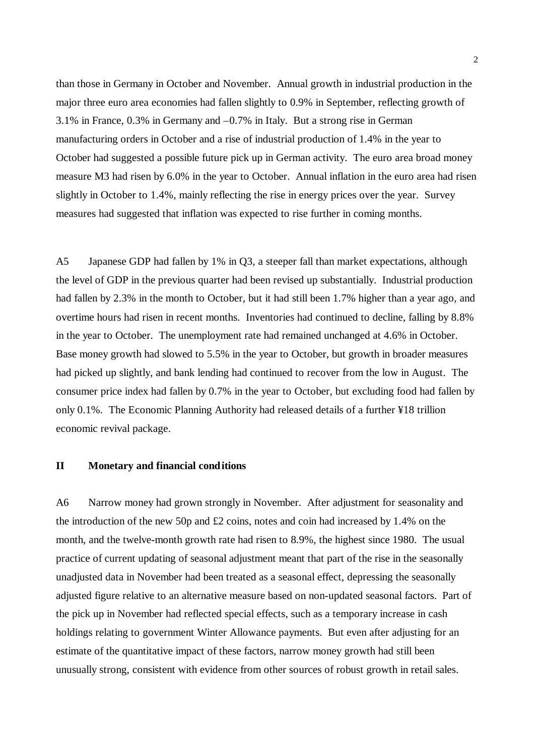than those in Germany in October and November. Annual growth in industrial production in the major three euro area economies had fallen slightly to 0.9% in September, reflecting growth of 3.1% in France, 0.3% in Germany and –0.7% in Italy. But a strong rise in German manufacturing orders in October and a rise of industrial production of 1.4% in the year to October had suggested a possible future pick up in German activity. The euro area broad money measure M3 had risen by 6.0% in the year to October. Annual inflation in the euro area had risen slightly in October to 1.4%, mainly reflecting the rise in energy prices over the year. Survey measures had suggested that inflation was expected to rise further in coming months.

A5 Japanese GDP had fallen by 1% in Q3, a steeper fall than market expectations, although the level of GDP in the previous quarter had been revised up substantially. Industrial production had fallen by 2.3% in the month to October, but it had still been 1.7% higher than a year ago, and overtime hours had risen in recent months. Inventories had continued to decline, falling by 8.8% in the year to October. The unemployment rate had remained unchanged at 4.6% in October. Base money growth had slowed to 5.5% in the year to October, but growth in broader measures had picked up slightly, and bank lending had continued to recover from the low in August. The consumer price index had fallen by 0.7% in the year to October, but excluding food had fallen by only 0.1%. The Economic Planning Authority had released details of a further ¥18 trillion economic revival package.

# **II Monetary and financial conditions**

A6 Narrow money had grown strongly in November. After adjustment for seasonality and the introduction of the new 50p and  $\pounds$  coins, notes and coin had increased by 1.4% on the month, and the twelve-month growth rate had risen to 8.9%, the highest since 1980. The usual practice of current updating of seasonal adjustment meant that part of the rise in the seasonally unadjusted data in November had been treated as a seasonal effect, depressing the seasonally adjusted figure relative to an alternative measure based on non-updated seasonal factors. Part of the pick up in November had reflected special effects, such as a temporary increase in cash holdings relating to government Winter Allowance payments. But even after adjusting for an estimate of the quantitative impact of these factors, narrow money growth had still been unusually strong, consistent with evidence from other sources of robust growth in retail sales.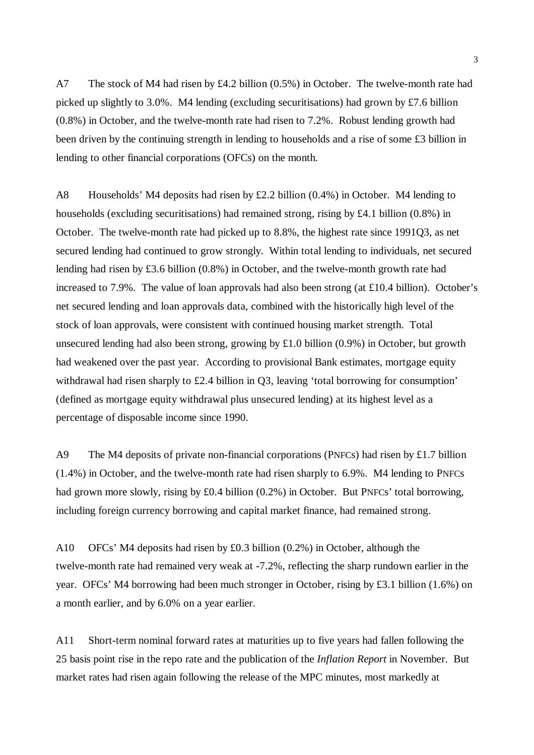A7 The stock of M4 had risen by £4.2 billion (0.5%) in October. The twelve-month rate had picked up slightly to 3.0%. M4 lending (excluding securitisations) had grown by £7.6 billion (0.8%) in October, and the twelve-month rate had risen to 7.2%. Robust lending growth had been driven by the continuing strength in lending to households and a rise of some £3 billion in lending to other financial corporations (OFCs) on the month.

A8 Households' M4 deposits had risen by £2.2 billion (0.4%) in October. M4 lending to households (excluding securitisations) had remained strong, rising by £4.1 billion (0.8%) in October. The twelve-month rate had picked up to 8.8%, the highest rate since 1991Q3, as net secured lending had continued to grow strongly. Within total lending to individuals, net secured lending had risen by £3.6 billion (0.8%) in October, and the twelve-month growth rate had increased to 7.9%. The value of loan approvals had also been strong (at £10.4 billion). October's net secured lending and loan approvals data, combined with the historically high level of the stock of loan approvals, were consistent with continued housing market strength. Total unsecured lending had also been strong, growing by £1.0 billion (0.9%) in October, but growth had weakened over the past year. According to provisional Bank estimates, mortgage equity withdrawal had risen sharply to £2.4 billion in Q3, leaving 'total borrowing for consumption' (defined as mortgage equity withdrawal plus unsecured lending) at its highest level as a percentage of disposable income since 1990.

A9 The M4 deposits of private non-financial corporations (PNFCs) had risen by £1.7 billion (1.4%) in October, and the twelve-month rate had risen sharply to 6.9%. M4 lending to PNFCs had grown more slowly, rising by £0.4 billion (0.2%) in October. But PNFCs' total borrowing, including foreign currency borrowing and capital market finance, had remained strong.

A10 OFCs' M4 deposits had risen by £0.3 billion (0.2%) in October, although the twelve-month rate had remained very weak at -7.2%, reflecting the sharp rundown earlier in the year. OFCs' M4 borrowing had been much stronger in October, rising by £3.1 billion (1.6%) on a month earlier, and by 6.0% on a year earlier.

A11 Short-term nominal forward rates at maturities up to five years had fallen following the 25 basis point rise in the repo rate and the publication of the *Inflation Report* in November. But market rates had risen again following the release of the MPC minutes, most markedly at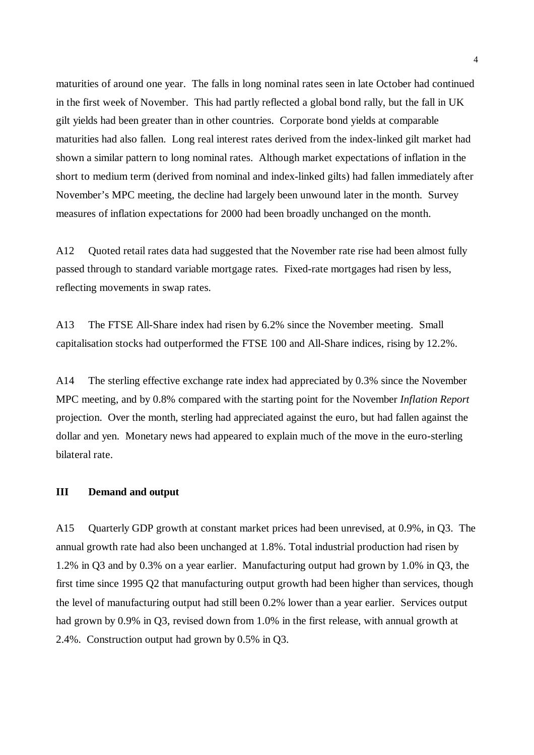maturities of around one year. The falls in long nominal rates seen in late October had continued in the first week of November. This had partly reflected a global bond rally, but the fall in UK gilt yields had been greater than in other countries. Corporate bond yields at comparable maturities had also fallen. Long real interest rates derived from the index-linked gilt market had shown a similar pattern to long nominal rates. Although market expectations of inflation in the short to medium term (derived from nominal and index-linked gilts) had fallen immediately after November's MPC meeting, the decline had largely been unwound later in the month. Survey measures of inflation expectations for 2000 had been broadly unchanged on the month.

A12 Quoted retail rates data had suggested that the November rate rise had been almost fully passed through to standard variable mortgage rates. Fixed-rate mortgages had risen by less, reflecting movements in swap rates.

A13 The FTSE All-Share index had risen by 6.2% since the November meeting. Small capitalisation stocks had outperformed the FTSE 100 and All-Share indices, rising by 12.2%.

A14 The sterling effective exchange rate index had appreciated by 0.3% since the November MPC meeting, and by 0.8% compared with the starting point for the November *Inflation Report* projection. Over the month, sterling had appreciated against the euro, but had fallen against the dollar and yen. Monetary news had appeared to explain much of the move in the euro-sterling bilateral rate.

#### **III Demand and output**

A15 Quarterly GDP growth at constant market prices had been unrevised, at 0.9%, in Q3. The annual growth rate had also been unchanged at 1.8%. Total industrial production had risen by 1.2% in Q3 and by 0.3% on a year earlier. Manufacturing output had grown by 1.0% in Q3, the first time since 1995 Q2 that manufacturing output growth had been higher than services, though the level of manufacturing output had still been 0.2% lower than a year earlier. Services output had grown by 0.9% in Q3, revised down from 1.0% in the first release, with annual growth at 2.4%. Construction output had grown by 0.5% in Q3.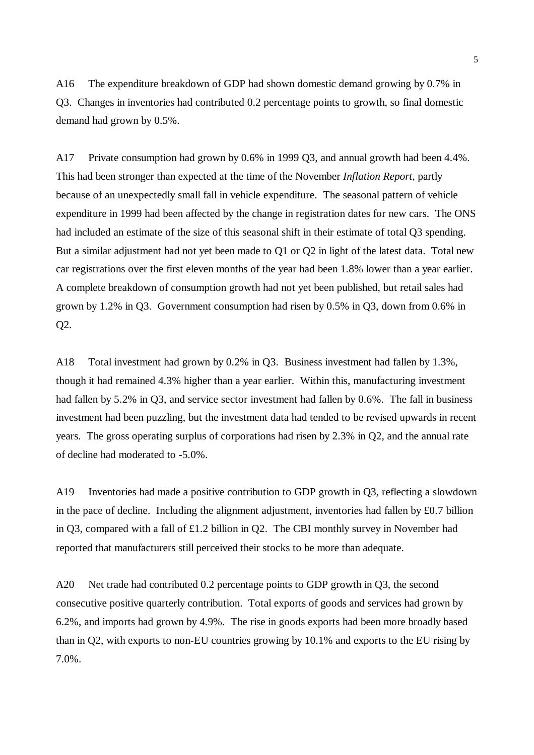A16 The expenditure breakdown of GDP had shown domestic demand growing by 0.7% in Q3. Changes in inventories had contributed 0.2 percentage points to growth, so final domestic demand had grown by 0.5%.

A17 Private consumption had grown by 0.6% in 1999 Q3, and annual growth had been 4.4%. This had been stronger than expected at the time of the November *Inflation Report*, partly because of an unexpectedly small fall in vehicle expenditure. The seasonal pattern of vehicle expenditure in 1999 had been affected by the change in registration dates for new cars. The ONS had included an estimate of the size of this seasonal shift in their estimate of total Q3 spending. But a similar adjustment had not yet been made to Q1 or Q2 in light of the latest data. Total new car registrations over the first eleven months of the year had been 1.8% lower than a year earlier. A complete breakdown of consumption growth had not yet been published, but retail sales had grown by 1.2% in Q3. Government consumption had risen by 0.5% in Q3, down from 0.6% in Q2.

A18 Total investment had grown by 0.2% in Q3. Business investment had fallen by 1.3%, though it had remained 4.3% higher than a year earlier. Within this, manufacturing investment had fallen by 5.2% in Q3, and service sector investment had fallen by 0.6%. The fall in business investment had been puzzling, but the investment data had tended to be revised upwards in recent years. The gross operating surplus of corporations had risen by 2.3% in Q2, and the annual rate of decline had moderated to -5.0%.

A19 Inventories had made a positive contribution to GDP growth in Q3, reflecting a slowdown in the pace of decline. Including the alignment adjustment, inventories had fallen by £0.7 billion in Q3, compared with a fall of £1.2 billion in Q2. The CBI monthly survey in November had reported that manufacturers still perceived their stocks to be more than adequate.

A20 Net trade had contributed 0.2 percentage points to GDP growth in Q3, the second consecutive positive quarterly contribution. Total exports of goods and services had grown by 6.2%, and imports had grown by 4.9%. The rise in goods exports had been more broadly based than in Q2, with exports to non-EU countries growing by 10.1% and exports to the EU rising by 7.0%.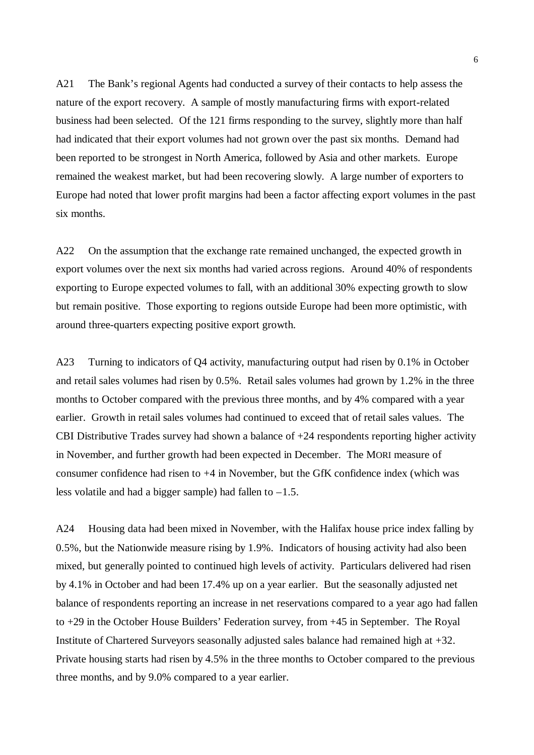A21 The Bank's regional Agents had conducted a survey of their contacts to help assess the nature of the export recovery. A sample of mostly manufacturing firms with export-related business had been selected. Of the 121 firms responding to the survey, slightly more than half had indicated that their export volumes had not grown over the past six months. Demand had been reported to be strongest in North America, followed by Asia and other markets. Europe remained the weakest market, but had been recovering slowly. A large number of exporters to Europe had noted that lower profit margins had been a factor affecting export volumes in the past six months.

A22 On the assumption that the exchange rate remained unchanged, the expected growth in export volumes over the next six months had varied across regions. Around 40% of respondents exporting to Europe expected volumes to fall, with an additional 30% expecting growth to slow but remain positive. Those exporting to regions outside Europe had been more optimistic, with around three-quarters expecting positive export growth.

A23 Turning to indicators of Q4 activity, manufacturing output had risen by 0.1% in October and retail sales volumes had risen by 0.5%. Retail sales volumes had grown by 1.2% in the three months to October compared with the previous three months, and by 4% compared with a year earlier. Growth in retail sales volumes had continued to exceed that of retail sales values. The CBI Distributive Trades survey had shown a balance of +24 respondents reporting higher activity in November, and further growth had been expected in December. The MORI measure of consumer confidence had risen to +4 in November, but the GfK confidence index (which was less volatile and had a bigger sample) had fallen to  $-1.5$ .

A24 Housing data had been mixed in November, with the Halifax house price index falling by 0.5%, but the Nationwide measure rising by 1.9%. Indicators of housing activity had also been mixed, but generally pointed to continued high levels of activity. Particulars delivered had risen by 4.1% in October and had been 17.4% up on a year earlier. But the seasonally adjusted net balance of respondents reporting an increase in net reservations compared to a year ago had fallen to +29 in the October House Builders' Federation survey, from +45 in September. The Royal Institute of Chartered Surveyors seasonally adjusted sales balance had remained high at +32. Private housing starts had risen by 4.5% in the three months to October compared to the previous three months, and by 9.0% compared to a year earlier.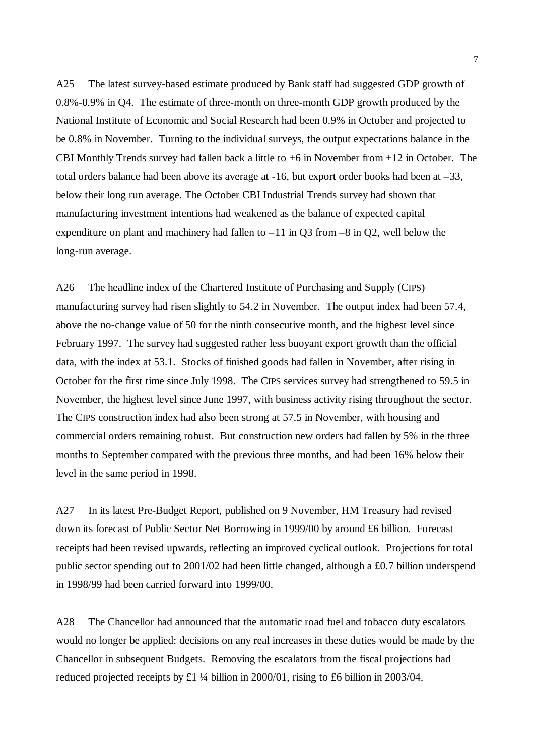A25 The latest survey-based estimate produced by Bank staff had suggested GDP growth of 0.8%-0.9% in Q4. The estimate of three-month on three-month GDP growth produced by the National Institute of Economic and Social Research had been 0.9% in October and projected to be 0.8% in November. Turning to the individual surveys, the output expectations balance in the CBI Monthly Trends survey had fallen back a little to +6 in November from +12 in October. The total orders balance had been above its average at -16, but export order books had been at –33, below their long run average. The October CBI Industrial Trends survey had shown that manufacturing investment intentions had weakened as the balance of expected capital expenditure on plant and machinery had fallen to  $-11$  in Q3 from  $-8$  in Q2, well below the long-run average.

A26 The headline index of the Chartered Institute of Purchasing and Supply (CIPS) manufacturing survey had risen slightly to 54.2 in November. The output index had been 57.4, above the no-change value of 50 for the ninth consecutive month, and the highest level since February 1997. The survey had suggested rather less buoyant export growth than the official data, with the index at 53.1. Stocks of finished goods had fallen in November, after rising in October for the first time since July 1998. The CIPS services survey had strengthened to 59.5 in November, the highest level since June 1997, with business activity rising throughout the sector. The CIPS construction index had also been strong at 57.5 in November, with housing and commercial orders remaining robust. But construction new orders had fallen by 5% in the three months to September compared with the previous three months, and had been 16% below their level in the same period in 1998.

A27 In its latest Pre-Budget Report, published on 9 November, HM Treasury had revised down its forecast of Public Sector Net Borrowing in 1999/00 by around £6 billion. Forecast receipts had been revised upwards, reflecting an improved cyclical outlook. Projections for total public sector spending out to 2001/02 had been little changed, although a £0.7 billion underspend in 1998/99 had been carried forward into 1999/00.

A28 The Chancellor had announced that the automatic road fuel and tobacco duty escalators would no longer be applied: decisions on any real increases in these duties would be made by the Chancellor in subsequent Budgets. Removing the escalators from the fiscal projections had reduced projected receipts by £1 ¼ billion in 2000/01, rising to £6 billion in 2003/04.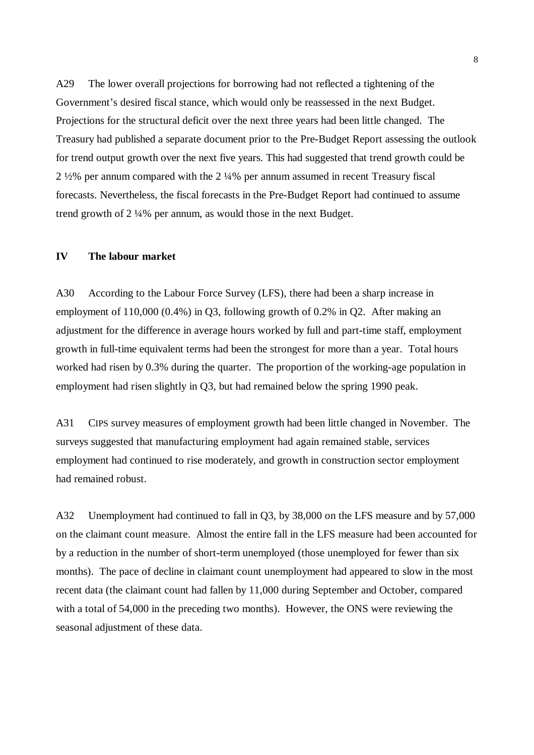A29 The lower overall projections for borrowing had not reflected a tightening of the Government's desired fiscal stance, which would only be reassessed in the next Budget. Projections for the structural deficit over the next three years had been little changed. The Treasury had published a separate document prior to the Pre-Budget Report assessing the outlook for trend output growth over the next five years. This had suggested that trend growth could be 2 ½% per annum compared with the 2 ¼% per annum assumed in recent Treasury fiscal forecasts. Nevertheless, the fiscal forecasts in the Pre-Budget Report had continued to assume trend growth of 2 ¼% per annum, as would those in the next Budget.

## **IV The labour market**

A30 According to the Labour Force Survey (LFS), there had been a sharp increase in employment of 110,000 (0.4%) in Q3, following growth of 0.2% in Q2. After making an adjustment for the difference in average hours worked by full and part-time staff, employment growth in full-time equivalent terms had been the strongest for more than a year. Total hours worked had risen by 0.3% during the quarter. The proportion of the working-age population in employment had risen slightly in Q3, but had remained below the spring 1990 peak.

A31 CIPS survey measures of employment growth had been little changed in November. The surveys suggested that manufacturing employment had again remained stable, services employment had continued to rise moderately, and growth in construction sector employment had remained robust.

A32 Unemployment had continued to fall in Q3, by 38,000 on the LFS measure and by 57,000 on the claimant count measure. Almost the entire fall in the LFS measure had been accounted for by a reduction in the number of short-term unemployed (those unemployed for fewer than six months). The pace of decline in claimant count unemployment had appeared to slow in the most recent data (the claimant count had fallen by 11,000 during September and October, compared with a total of 54,000 in the preceding two months). However, the ONS were reviewing the seasonal adjustment of these data.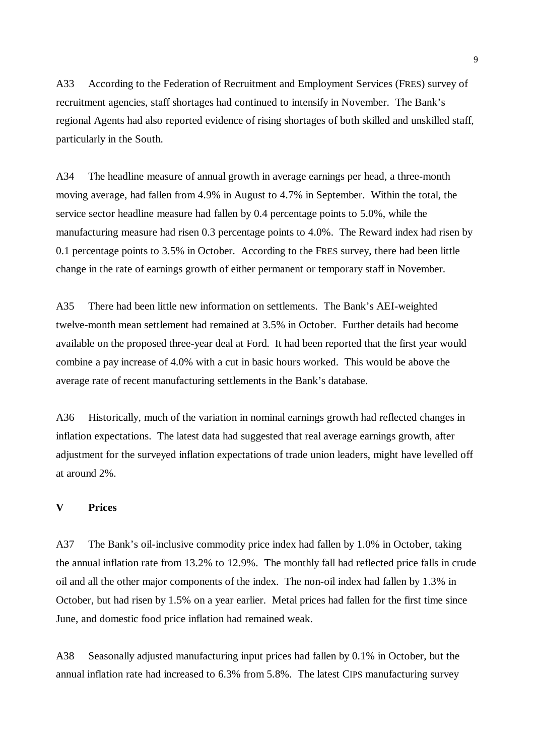A33 According to the Federation of Recruitment and Employment Services (FRES) survey of recruitment agencies, staff shortages had continued to intensify in November. The Bank's regional Agents had also reported evidence of rising shortages of both skilled and unskilled staff, particularly in the South.

A34 The headline measure of annual growth in average earnings per head, a three-month moving average, had fallen from 4.9% in August to 4.7% in September. Within the total, the service sector headline measure had fallen by 0.4 percentage points to 5.0%, while the manufacturing measure had risen 0.3 percentage points to 4.0%. The Reward index had risen by 0.1 percentage points to 3.5% in October. According to the FRES survey, there had been little change in the rate of earnings growth of either permanent or temporary staff in November.

A35 There had been little new information on settlements. The Bank's AEI-weighted twelve-month mean settlement had remained at 3.5% in October. Further details had become available on the proposed three-year deal at Ford. It had been reported that the first year would combine a pay increase of 4.0% with a cut in basic hours worked. This would be above the average rate of recent manufacturing settlements in the Bank's database.

A36 Historically, much of the variation in nominal earnings growth had reflected changes in inflation expectations. The latest data had suggested that real average earnings growth, after adjustment for the surveyed inflation expectations of trade union leaders, might have levelled off at around 2%.

# **V Prices**

A37 The Bank's oil-inclusive commodity price index had fallen by 1.0% in October, taking the annual inflation rate from 13.2% to 12.9%. The monthly fall had reflected price falls in crude oil and all the other major components of the index. The non-oil index had fallen by 1.3% in October, but had risen by 1.5% on a year earlier. Metal prices had fallen for the first time since June, and domestic food price inflation had remained weak.

A38 Seasonally adjusted manufacturing input prices had fallen by 0.1% in October, but the annual inflation rate had increased to 6.3% from 5.8%. The latest CIPS manufacturing survey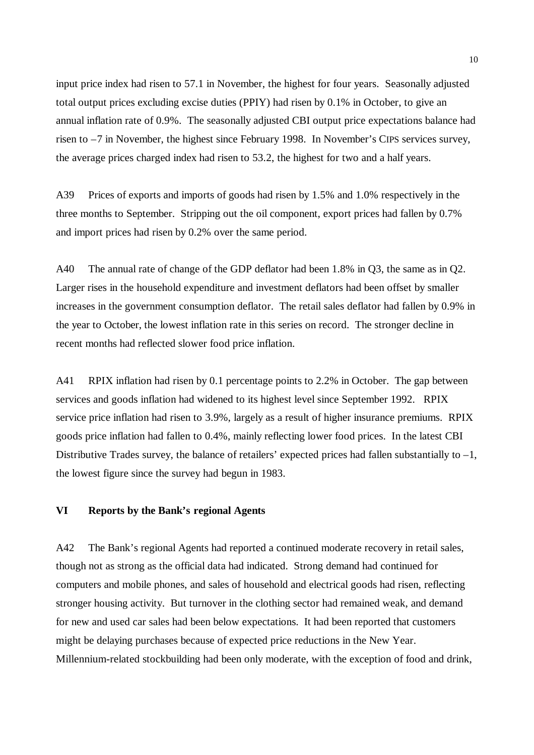input price index had risen to 57.1 in November, the highest for four years. Seasonally adjusted total output prices excluding excise duties (PPIY) had risen by 0.1% in October, to give an annual inflation rate of 0.9%. The seasonally adjusted CBI output price expectations balance had risen to –7 in November, the highest since February 1998. In November's CIPS services survey, the average prices charged index had risen to 53.2, the highest for two and a half years.

A39 Prices of exports and imports of goods had risen by 1.5% and 1.0% respectively in the three months to September. Stripping out the oil component, export prices had fallen by 0.7% and import prices had risen by 0.2% over the same period.

A40 The annual rate of change of the GDP deflator had been 1.8% in Q3, the same as in Q2. Larger rises in the household expenditure and investment deflators had been offset by smaller increases in the government consumption deflator. The retail sales deflator had fallen by 0.9% in the year to October, the lowest inflation rate in this series on record. The stronger decline in recent months had reflected slower food price inflation.

A41 RPIX inflation had risen by 0.1 percentage points to 2.2% in October. The gap between services and goods inflation had widened to its highest level since September 1992. RPIX service price inflation had risen to 3.9%, largely as a result of higher insurance premiums. RPIX goods price inflation had fallen to 0.4%, mainly reflecting lower food prices. In the latest CBI Distributive Trades survey, the balance of retailers' expected prices had fallen substantially to  $-1$ , the lowest figure since the survey had begun in 1983.

# **VI Reports by the Bank's regional Agents**

A42 The Bank's regional Agents had reported a continued moderate recovery in retail sales, though not as strong as the official data had indicated. Strong demand had continued for computers and mobile phones, and sales of household and electrical goods had risen, reflecting stronger housing activity. But turnover in the clothing sector had remained weak, and demand for new and used car sales had been below expectations. It had been reported that customers might be delaying purchases because of expected price reductions in the New Year. Millennium-related stockbuilding had been only moderate, with the exception of food and drink,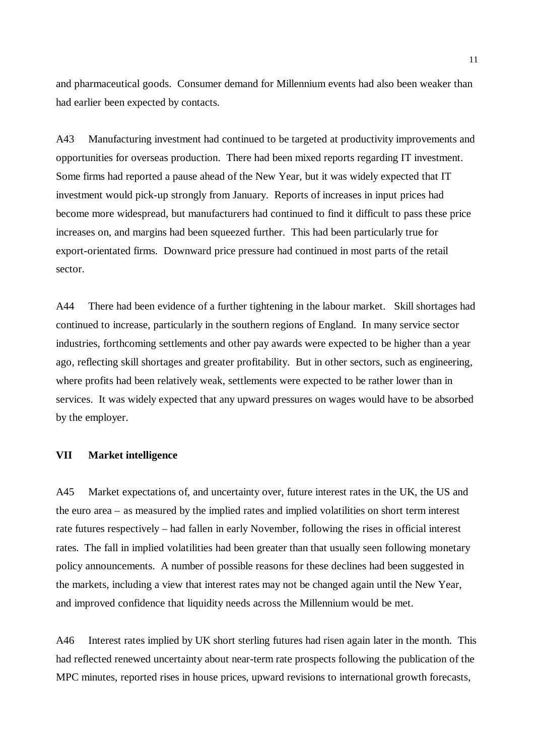and pharmaceutical goods. Consumer demand for Millennium events had also been weaker than had earlier been expected by contacts.

A43 Manufacturing investment had continued to be targeted at productivity improvements and opportunities for overseas production. There had been mixed reports regarding IT investment. Some firms had reported a pause ahead of the New Year, but it was widely expected that IT investment would pick-up strongly from January. Reports of increases in input prices had become more widespread, but manufacturers had continued to find it difficult to pass these price increases on, and margins had been squeezed further. This had been particularly true for export-orientated firms. Downward price pressure had continued in most parts of the retail sector.

A44 There had been evidence of a further tightening in the labour market. Skill shortages had continued to increase, particularly in the southern regions of England. In many service sector industries, forthcoming settlements and other pay awards were expected to be higher than a year ago, reflecting skill shortages and greater profitability. But in other sectors, such as engineering, where profits had been relatively weak, settlements were expected to be rather lower than in services. It was widely expected that any upward pressures on wages would have to be absorbed by the employer.

#### **VII Market intelligence**

A45 Market expectations of, and uncertainty over, future interest rates in the UK, the US and the euro area – as measured by the implied rates and implied volatilities on short term interest rate futures respectively – had fallen in early November, following the rises in official interest rates. The fall in implied volatilities had been greater than that usually seen following monetary policy announcements. A number of possible reasons for these declines had been suggested in the markets, including a view that interest rates may not be changed again until the New Year, and improved confidence that liquidity needs across the Millennium would be met.

A46 Interest rates implied by UK short sterling futures had risen again later in the month. This had reflected renewed uncertainty about near-term rate prospects following the publication of the MPC minutes, reported rises in house prices, upward revisions to international growth forecasts,